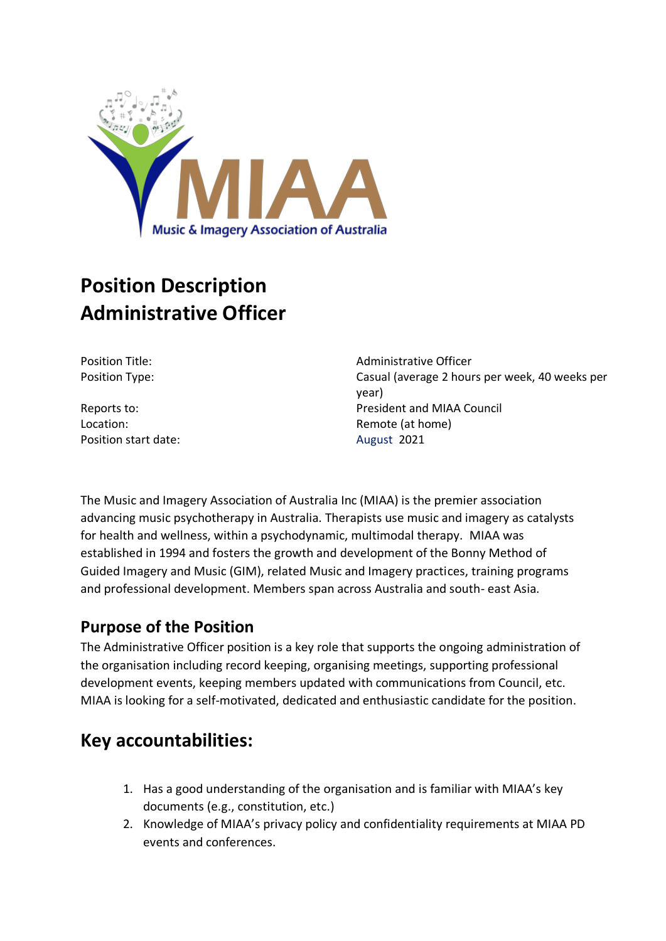

# **Position Description Administrative Officer**

Location: **Remote (at home)** Position start date: August 2021

Position Title: and Title: Administrative Officer Position Type: Casual (average 2 hours per week, 40 weeks per year) Reports to: President and MIAA Council

The Music and Imagery Association of Australia Inc (MIAA) is the premier association advancing music psychotherapy in Australia. Therapists use music and imagery as catalysts for health and wellness, within a psychodynamic, multimodal therapy. MIAA was established in 1994 and fosters the growth and development of the Bonny Method of Guided Imagery and Music (GIM), related Music and Imagery practices, training programs and professional development. Members span across Australia and south- east Asia.

#### **Purpose of the Position**

The Administrative Officer position is a key role that supports the ongoing administration of the organisation including record keeping, organising meetings, supporting professional development events, keeping members updated with communications from Council, etc. MIAA is looking for a self-motivated, dedicated and enthusiastic candidate for the position.

## **Key accountabilities:**

- 1. Has a good understanding of the organisation and is familiar with MIAA's key documents (e.g., constitution, etc.)
- 2. Knowledge of MIAA's privacy policy and confidentiality requirements at MIAA PD events and conferences.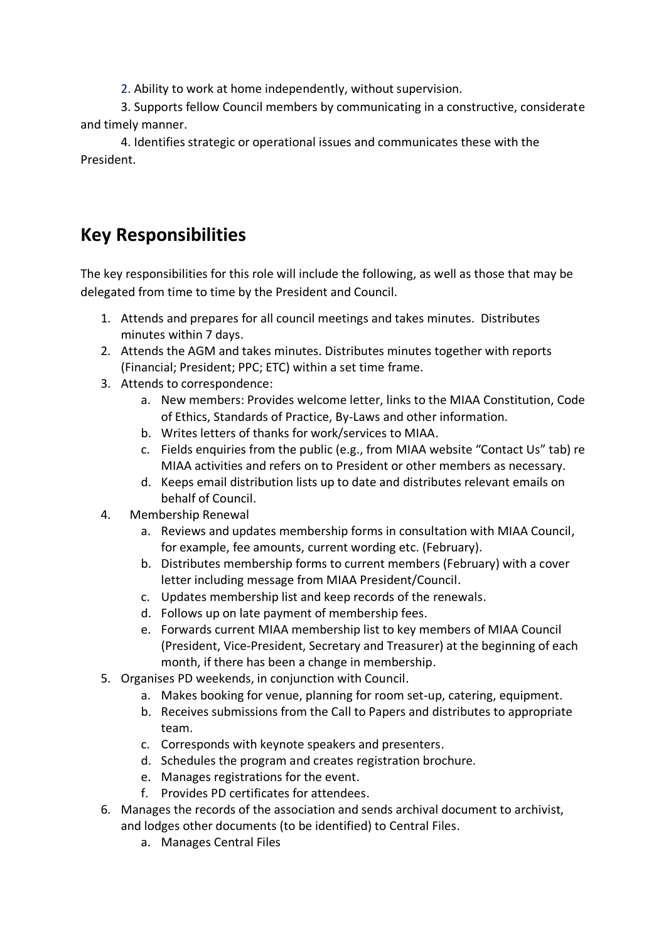2. Ability to work at home independently, without supervision.

3. Supports fellow Council members by communicating in a constructive, considerate and timely manner.

4. Identifies strategic or operational issues and communicates these with the President.

## **Key Responsibilities**

The key responsibilities for this role will include the following, as well as those that may be delegated from time to time by the President and Council.

- 1. Attends and prepares for all council meetings and takes minutes. Distributes minutes within 7 days.
- 2. Attends the AGM and takes minutes. Distributes minutes together with reports (Financial; President; PPC; ETC) within a set time frame.
- 3. Attends to correspondence:
	- a. New members: Provides welcome letter, links to the MIAA Constitution, Code of Ethics, Standards of Practice, By-Laws and other information.
	- b. Writes letters of thanks for work/services to MIAA.
	- c. Fields enquiries from the public (e.g., from MIAA website "Contact Us" tab) re MIAA activities and refers on to President or other members as necessary.
	- d. Keeps email distribution lists up to date and distributes relevant emails on behalf of Council.
- 4. Membership Renewal
	- a. Reviews and updates membership forms in consultation with MIAA Council, for example, fee amounts, current wording etc. (February).
	- b. Distributes membership forms to current members (February) with a cover letter including message from MIAA President/Council.
	- c. Updates membership list and keep records of the renewals.
	- d. Follows up on late payment of membership fees.
	- e. Forwards current MIAA membership list to key members of MIAA Council (President, Vice-President, Secretary and Treasurer) at the beginning of each month, if there has been a change in membership.
- 5. Organises PD weekends, in conjunction with Council.
	- a. Makes booking for venue, planning for room set-up, catering, equipment.
	- b. Receives submissions from the Call to Papers and distributes to appropriate team.
	- c. Corresponds with keynote speakers and presenters.
	- d. Schedules the program and creates registration brochure.
	- e. Manages registrations for the event.
	- f. Provides PD certificates for attendees.
- 6. Manages the records of the association and sends archival document to archivist, and lodges other documents (to be identified) to Central Files.
	- a. Manages Central Files